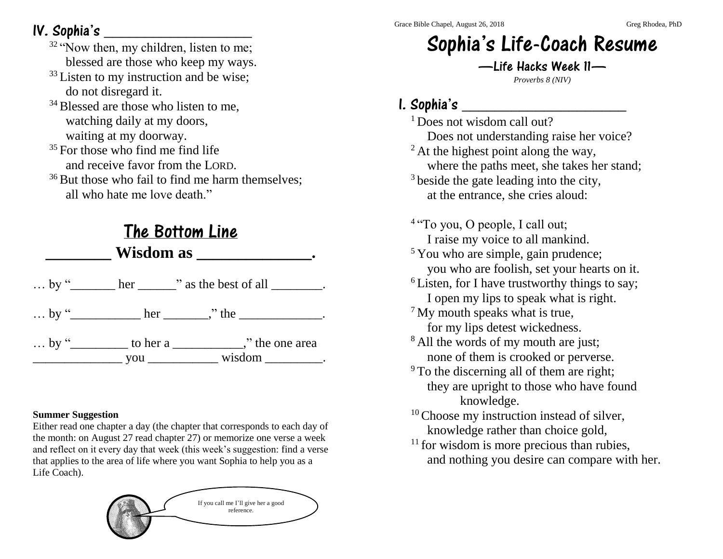## IV. Sophia's \_\_\_\_\_\_\_\_\_\_\_\_\_\_\_\_\_\_

- $32$  "Now then, my children, listen to me; blessed are those who keep my ways.
- <sup>33</sup> Listen to my instruction and be wise; do not disregard it.
- $34$  Blessed are those who listen to me. watching daily at my doors, waiting at my doorway.
- $35$  For those who find me find life and receive favor from the LORD.
- $36$  But those who fail to find me harm themselves: all who hate me love death."

## The Bottom Line

 $\mathbf{W}$   $\mathbf{W}$   $\mathbf{W}$ 

|  | by " $\rule{1em}{0.15mm}$ her $\rule{1em}{0.15mm}$ " as the best of all $\rule{1em}{0.15mm}$ . |
|--|------------------------------------------------------------------------------------------------|
|  | by "______________ her ________," the ______________.                                          |
|  | $\ldots$ by "____________ to her a _____________," the one area                                |

#### **Summer Suggestion**

Either read one chapter a day (the chapter that corresponds to each day of the month: on August 27 read chapter 27) or memorize one verse a week and reflect on it every day that week (this week's suggestion: find a verse that applies to the area of life where you want Sophia to help you as a Life Coach).



# Sophia's Life-Coach Resume

—Life Hacks Week 11— *Proverbs 8 (NIV)*

## I. Sophia's \_\_\_\_\_\_\_\_\_\_\_\_\_\_\_\_\_\_\_\_

<sup>1</sup> Does not wisdom call out? Does not understanding raise her voice? <sup>2</sup> At the highest point along the way, where the paths meet, she takes her stand; <sup>3</sup> beside the gate leading into the city, at the entrance, she cries aloud: <sup>4</sup> "To you, O people, I call out; I raise my voice to all mankind. <sup>5</sup> You who are simple, gain prudence; you who are foolish, set your hearts on it.  $6$  Listen, for I have trustworthy things to say; I open my lips to speak what is right. <sup>7</sup> My mouth speaks what is true, for my lips detest wickedness. <sup>8</sup> All the words of my mouth are just; none of them is crooked or perverse. <sup>9</sup> To the discerning all of them are right; they are upright to those who have found knowledge. <sup>10</sup> Choose my instruction instead of silver, knowledge rather than choice gold,  $11$  for wisdom is more precious than rubies, and nothing you desire can compare with her.